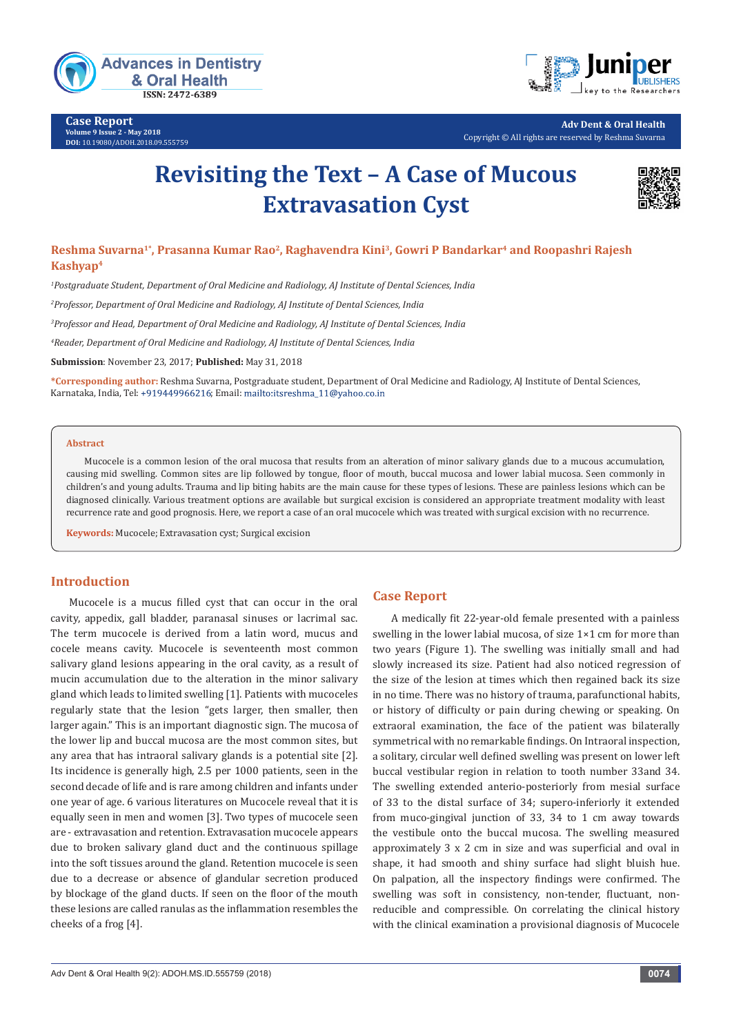

**Case Report Volume 9 Issue 2 - May 2018 DOI:** [10.19080/ADOH.2018.09.555759](http://dx.doi.org/10.19080/ADOH.2018.09.555759)



**Adv Dent & Oral Health** Copyright © All rights are reserved by Reshma Suvarna

# **Revisiting the Text – A Case of Mucous Extravasation Cyst**



# **Reshma Suvarna1\*, Prasanna Kumar Rao2, Raghavendra Kini3, Gowri P Bandarkar4 and Roopashri Rajesh Kashyap4**

*1 Postgraduate Student, Department of Oral Medicine and Radiology, AJ Institute of Dental Sciences, India*

*2 Professor, Department of Oral Medicine and Radiology, AJ Institute of Dental Sciences, India*

*3 Professor and Head, Department of Oral Medicine and Radiology, AJ Institute of Dental Sciences, India* 

*4 Reader, Department of Oral Medicine and Radiology, AJ Institute of Dental Sciences, India*

**Submission**: November 23, 2017; **Published:** May 31, 2018

**\*Corresponding author:** Reshma Suvarna, Postgraduate student, Department of Oral Medicine and Radiology, AJ Institute of Dental Sciences, Karnataka, India, Tel: +919449966216; Email: mailto:itsreshma\_11@yahoo.co.in

#### **Abstract**

Mucocele is a common lesion of the oral mucosa that results from an alteration of minor salivary glands due to a mucous accumulation, causing mid swelling. Common sites are lip followed by tongue, floor of mouth, buccal mucosa and lower labial mucosa. Seen commonly in children's and young adults. Trauma and lip biting habits are the main cause for these types of lesions. These are painless lesions which can be diagnosed clinically. Various treatment options are available but surgical excision is considered an appropriate treatment modality with least recurrence rate and good prognosis. Here, we report a case of an oral mucocele which was treated with surgical excision with no recurrence.

**Keywords:** Mucocele; Extravasation cyst; Surgical excision

## **Introduction**

Mucocele is a mucus filled cyst that can occur in the oral cavity, appedix, gall bladder, paranasal sinuses or lacrimal sac. The term mucocele is derived from a latin word, mucus and cocele means cavity. Mucocele is seventeenth most common salivary gland lesions appearing in the oral cavity, as a result of mucin accumulation due to the alteration in the minor salivary gland which leads to limited swelling [1]. Patients with mucoceles regularly state that the lesion "gets larger, then smaller, then larger again." This is an important diagnostic sign. The mucosa of the lower lip and buccal mucosa are the most common sites, but any area that has intraoral salivary glands is a potential site [2]. Its incidence is generally high, 2.5 per 1000 patients, seen in the second decade of life and is rare among children and infants under one year of age. 6 various literatures on Mucocele reveal that it is equally seen in men and women [3]. Two types of mucocele seen are - extravasation and retention. Extravasation mucocele appears due to broken salivary gland duct and the continuous spillage into the soft tissues around the gland. Retention mucocele is seen due to a decrease or absence of glandular secretion produced by blockage of the gland ducts. If seen on the floor of the mouth these lesions are called ranulas as the inflammation resembles the cheeks of a frog [4].

## **Case Report**

A medically fit 22-year-old female presented with a painless swelling in the lower labial mucosa, of size 1×1 cm for more than two years (Figure 1). The swelling was initially small and had slowly increased its size. Patient had also noticed regression of the size of the lesion at times which then regained back its size in no time. There was no history of trauma, parafunctional habits, or history of difficulty or pain during chewing or speaking. On extraoral examination, the face of the patient was bilaterally symmetrical with no remarkable findings. On Intraoral inspection, a solitary, circular well defined swelling was present on lower left buccal vestibular region in relation to tooth number 33and 34. The swelling extended anterio-posteriorly from mesial surface of 33 to the distal surface of 34; supero-inferiorly it extended from muco-gingival junction of 33, 34 to 1 cm away towards the vestibule onto the buccal mucosa. The swelling measured approximately 3 x 2 cm in size and was superficial and oval in shape, it had smooth and shiny surface had slight bluish hue. On palpation, all the inspectory findings were confirmed. The swelling was soft in consistency, non-tender, fluctuant, nonreducible and compressible. On correlating the clinical history with the clinical examination a provisional diagnosis of Mucocele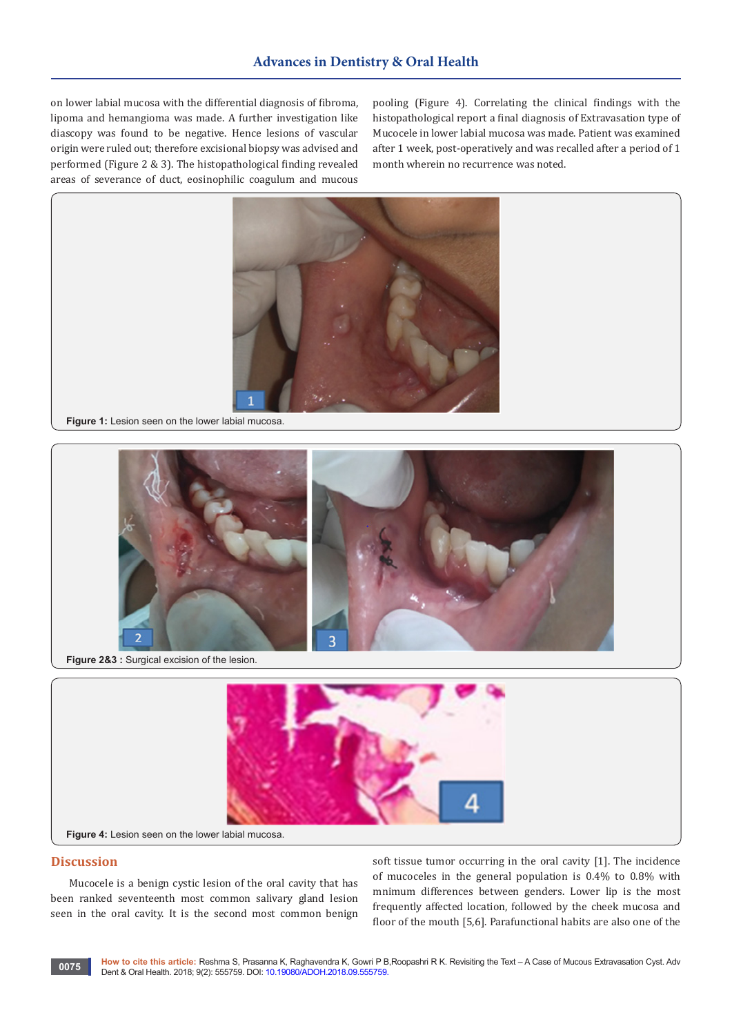on lower labial mucosa with the differential diagnosis of fibroma, lipoma and hemangioma was made. A further investigation like diascopy was found to be negative. Hence lesions of vascular origin were ruled out; therefore excisional biopsy was advised and performed (Figure 2 & 3). The histopathological finding revealed areas of severance of duct, eosinophilic coagulum and mucous

pooling (Figure 4). Correlating the clinical findings with the histopathological report a final diagnosis of Extravasation type of Mucocele in lower labial mucosa was made. Patient was examined after 1 week, post-operatively and was recalled after a period of 1 month wherein no recurrence was noted.



**Figure 1:** Lesion seen on the lower labial mucosa.



**Figure 2&3 :** Surgical excision of the lesion.



#### **Discussion**

Mucocele is a benign cystic lesion of the oral cavity that has been ranked seventeenth most common salivary gland lesion seen in the oral cavity. It is the second most common benign soft tissue tumor occurring in the oral cavity [1]. The incidence of mucoceles in the general population is 0.4% to 0.8% with mnimum differences between genders. Lower lip is the most frequently affected location, followed by the cheek mucosa and floor of the mouth [5,6]. Parafunctional habits are also one of the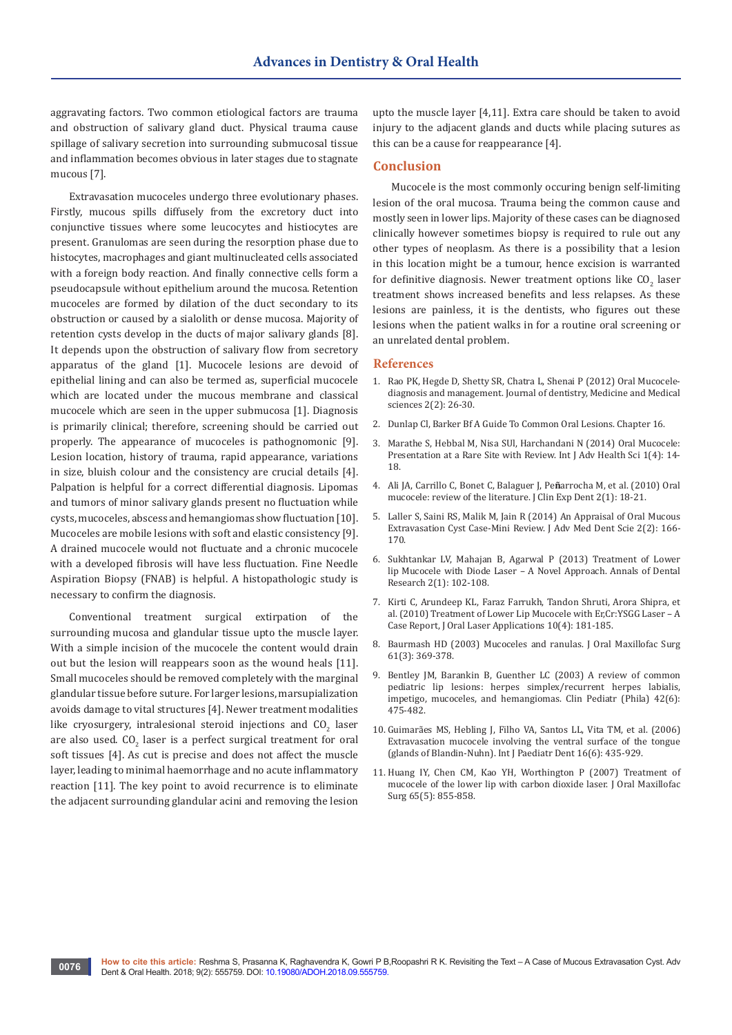aggravating factors. Two common etiological factors are trauma and obstruction of salivary gland duct. Physical trauma cause spillage of salivary secretion into surrounding submucosal tissue and inflammation becomes obvious in later stages due to stagnate mucous [7].

Extravasation mucoceles undergo three evolutionary phases. Firstly, mucous spills diffusely from the excretory duct into conjunctive tissues where some leucocytes and histiocytes are present. Granulomas are seen during the resorption phase due to histocytes, macrophages and giant multinucleated cells associated with a foreign body reaction. And finally connective cells form a pseudocapsule without epithelium around the mucosa. Retention mucoceles are formed by dilation of the duct secondary to its obstruction or caused by a sialolith or dense mucosa. Majority of retention cysts develop in the ducts of major salivary glands [8]. It depends upon the obstruction of salivary flow from secretory apparatus of the gland [1]. Mucocele lesions are devoid of epithelial lining and can also be termed as, superficial mucocele which are located under the mucous membrane and classical mucocele which are seen in the upper submucosa [1]. Diagnosis is primarily clinical; therefore, screening should be carried out properly. The appearance of mucoceles is pathognomonic [9]. Lesion location, history of trauma, rapid appearance, variations in size, bluish colour and the consistency are crucial details [4]. Palpation is helpful for a correct differential diagnosis. Lipomas and tumors of minor salivary glands present no fluctuation while cysts, mucoceles, abscess and hemangiomas show fluctuation [10]. Mucoceles are mobile lesions with soft and elastic consistency [9]. A drained mucocele would not fluctuate and a chronic mucocele with a developed fibrosis will have less fluctuation. Fine Needle Aspiration Biopsy (FNAB) is helpful. A histopathologic study is necessary to confirm the diagnosis.

Conventional treatment surgical extirpation of the surrounding mucosa and glandular tissue upto the muscle layer. With a simple incision of the mucocele the content would drain out but the lesion will reappears soon as the wound heals [11]. Small mucoceles should be removed completely with the marginal glandular tissue before suture. For larger lesions, marsupialization avoids damage to vital structures [4]. Newer treatment modalities like cryosurgery, intralesional steroid injections and  $\text{CO}_2$  laser are also used. CO<sub>2</sub> laser is a perfect surgical treatment for oral soft tissues [4]. As cut is precise and does not affect the muscle layer, leading to minimal haemorrhage and no acute inflammatory reaction [11]. The key point to avoid recurrence is to eliminate the adjacent surrounding glandular acini and removing the lesion

upto the muscle layer [4,11]. Extra care should be taken to avoid injury to the adjacent glands and ducts while placing sutures as this can be a cause for reappearance [4].

## **Conclusion**

Mucocele is the most commonly occuring benign self-limiting lesion of the oral mucosa. Trauma being the common cause and mostly seen in lower lips. Majority of these cases can be diagnosed clinically however sometimes biopsy is required to rule out any other types of neoplasm. As there is a possibility that a lesion in this location might be a tumour, hence excision is warranted for definitive diagnosis. Newer treatment options like  $\mathsf{CO}_2$  laser treatment shows increased benefits and less relapses. As these lesions are painless, it is the dentists, who figures out these lesions when the patient walks in for a routine oral screening or an unrelated dental problem.

#### **References**

- 1. [Rao PK, Hegde D, Shetty SR, Chatra L, Shenai P \(2012\) Oral Mucocele](https://www.interesjournals.org/abstract/oral-mucocele--diagnosis-and-management-934.html)[diagnosis and management. Journal of dentistry, Medicine and Medical](https://www.interesjournals.org/abstract/oral-mucocele--diagnosis-and-management-934.html)  [sciences 2\(2\): 26-30.](https://www.interesjournals.org/abstract/oral-mucocele--diagnosis-and-management-934.html)
- 2. [Dunlap Cl, Barker Bf A Guide To Common Oral Lesions. Chapter 16.](http://exodontia.info/files/Dept_of_Oral_Maxillofacial_Pathology_2006._A_Guide_to_Common_Oral_Lesions.pdf)
- 3. [Marathe S, Hebbal M, Nisa SUl, Harchandani N \(2014\) Oral Mucocele:](https://www.ijahs.net/uploads/2/6/7/7/26772457/ijahs_vol_1_issue_4_3.pdf)  [Presentation at a Rare Site with Review. Int J Adv Health Sci 1\(4\): 14-](https://www.ijahs.net/uploads/2/6/7/7/26772457/ijahs_vol_1_issue_4_3.pdf) [18.](https://www.ijahs.net/uploads/2/6/7/7/26772457/ijahs_vol_1_issue_4_3.pdf)
- 4. [Ali JA, Carrillo C, Bonet C, Balaguer J, Pe](https://www.researchgate.net/publication/244952371_Oral_mucocele_Review_of_the_literature)**ñ**arrocha M, et al. (2010) Oral [mucocele: review of the literature. J Clin Exp Dent 2\(1\): 18-21.](https://www.researchgate.net/publication/244952371_Oral_mucocele_Review_of_the_literature)
- 5. Laller S, Saini RS, Malik M, Jain R (2014) An Appraisal of Oral Mucous Extravasation Cyst Case-Mini Review. J Adv Med Dent Scie 2(2): 166- 170.
- 6. [Sukhtankar LV, Mahajan B, Agarwal P \(2013\) Treatment of Lower](https://pdfs.semanticscholar.org/811a/5bf9c3b0c6682b18df92ebbbd02e961b96ee.pdf)  [lip Mucocele with Diode Laser – A Novel Approach. Annals of Dental](https://pdfs.semanticscholar.org/811a/5bf9c3b0c6682b18df92ebbbd02e961b96ee.pdf)  [Research 2\(1\): 102-108.](https://pdfs.semanticscholar.org/811a/5bf9c3b0c6682b18df92ebbbd02e961b96ee.pdf)
- 7. Kirti C, Arundeep KL, Faraz Farrukh, Tandon Shruti, Arora Shipra, et al. (2010) Treatment of Lower Lip Mucocele with Er,Cr:YSGG Laser – A Case Report, J Oral Laser Applications 10(4): 181-185.
- 8. [Baurmash HD \(2003\) Mucoceles and ranulas. J Oral Maxillofac Surg](https://www.ncbi.nlm.nih.gov/pubmed/12618979)  [61\(3\): 369-378.](https://www.ncbi.nlm.nih.gov/pubmed/12618979)
- 9. [Bentley JM, Barankin B, Guenther LC \(2003\) A review of common](https://www.ncbi.nlm.nih.gov/pubmed/12921448)  [pediatric lip lesions: herpes simplex/recurrent herpes labialis,](https://www.ncbi.nlm.nih.gov/pubmed/12921448)  [impetigo, mucoceles, and hemangiomas. Clin Pediatr \(Phila\) 42\(6\):](https://www.ncbi.nlm.nih.gov/pubmed/12921448)  [475-482.](https://www.ncbi.nlm.nih.gov/pubmed/12921448)
- 10. [Guimarães MS, Hebling J, Filho VA, Santos LL, Vita TM, et al. \(2006\)](https://www.ncbi.nlm.nih.gov/pubmed/17014543)  [Extravasation mucocele involving the ventral surface of the tongue](https://www.ncbi.nlm.nih.gov/pubmed/17014543)  [\(glands of Blandin-Nuhn\). Int J Paediatr Dent 16\(6\): 435-929.](https://www.ncbi.nlm.nih.gov/pubmed/17014543)
- 11. [Huang IY, Chen CM, Kao YH, Worthington P \(2007\) Treatment of](https://www.ncbi.nlm.nih.gov/pubmed/17448832)  [mucocele of the lower lip with carbon dioxide laser. J Oral Maxillofac](https://www.ncbi.nlm.nih.gov/pubmed/17448832)  [Surg 65\(5\): 855-858.](https://www.ncbi.nlm.nih.gov/pubmed/17448832)